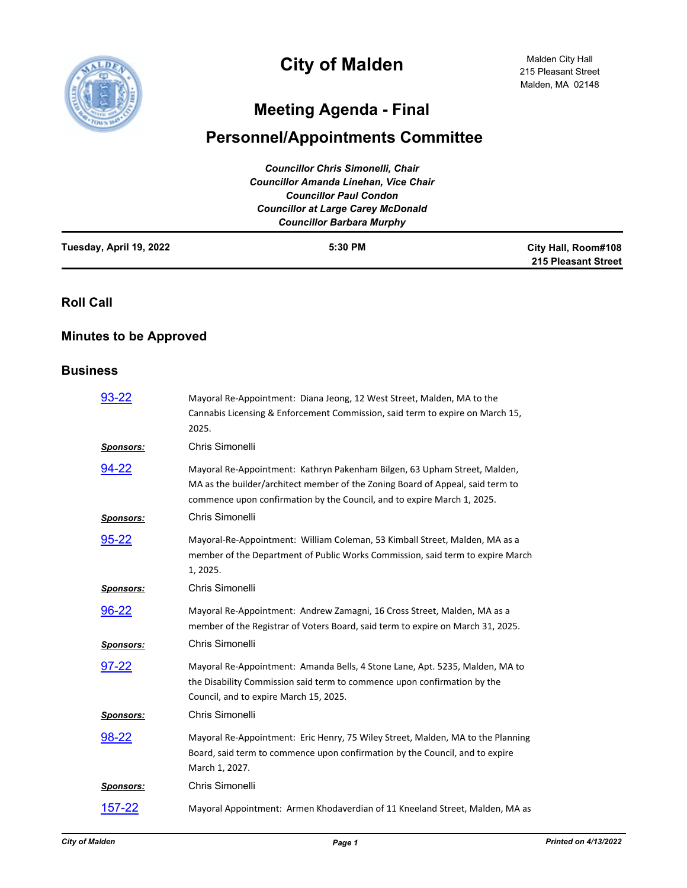

# **City of Malden**

Malden City Hall 215 Pleasant Street Malden, MA 02148

## **Meeting Agenda - Final**

## **Personnel/Appointments Committee**

|                         | <b>Councillor Chris Simonelli, Chair</b><br><b>Councillor Amanda Linehan, Vice Chair</b><br><b>Councillor Paul Condon</b><br><b>Councillor at Large Carey McDonald</b><br><b>Councillor Barbara Murphy</b> |                                            |
|-------------------------|------------------------------------------------------------------------------------------------------------------------------------------------------------------------------------------------------------|--------------------------------------------|
| Tuesday, April 19, 2022 | 5:30 PM                                                                                                                                                                                                    | City Hall, Room#108<br>215 Pleasant Street |

**Roll Call**

## **Minutes to be Approved**

#### **Business**

| 93-22                     | Mayoral Re-Appointment: Diana Jeong, 12 West Street, Malden, MA to the<br>Cannabis Licensing & Enforcement Commission, said term to expire on March 15,<br>2025.                                                                                          |
|---------------------------|-----------------------------------------------------------------------------------------------------------------------------------------------------------------------------------------------------------------------------------------------------------|
| <b>Sponsors:</b>          | Chris Simonelli                                                                                                                                                                                                                                           |
| 94-22<br><b>Sponsors:</b> | Mayoral Re-Appointment: Kathryn Pakenham Bilgen, 63 Upham Street, Malden,<br>MA as the builder/architect member of the Zoning Board of Appeal, said term to<br>commence upon confirmation by the Council, and to expire March 1, 2025.<br>Chris Simonelli |
| 95-22                     | Mayoral-Re-Appointment: William Coleman, 53 Kimball Street, Malden, MA as a<br>member of the Department of Public Works Commission, said term to expire March<br>1, 2025.                                                                                 |
| <b>Sponsors:</b>          | Chris Simonelli                                                                                                                                                                                                                                           |
| 96-22                     | Mayoral Re-Appointment: Andrew Zamagni, 16 Cross Street, Malden, MA as a<br>member of the Registrar of Voters Board, said term to expire on March 31, 2025.                                                                                               |
| <b>Sponsors:</b>          | Chris Simonelli                                                                                                                                                                                                                                           |
| 97-22                     | Mayoral Re-Appointment: Amanda Bells, 4 Stone Lane, Apt. 5235, Malden, MA to<br>the Disability Commission said term to commence upon confirmation by the<br>Council, and to expire March 15, 2025.                                                        |
| <b>Sponsors:</b>          | Chris Simonelli                                                                                                                                                                                                                                           |
| 98-22                     | Mayoral Re-Appointment: Eric Henry, 75 Wiley Street, Malden, MA to the Planning<br>Board, said term to commence upon confirmation by the Council, and to expire<br>March 1, 2027.                                                                         |
| <b>Sponsors:</b>          | Chris Simonelli                                                                                                                                                                                                                                           |
| <u>157-22</u>             | Mayoral Appointment: Armen Khodaverdian of 11 Kneeland Street, Malden, MA as                                                                                                                                                                              |